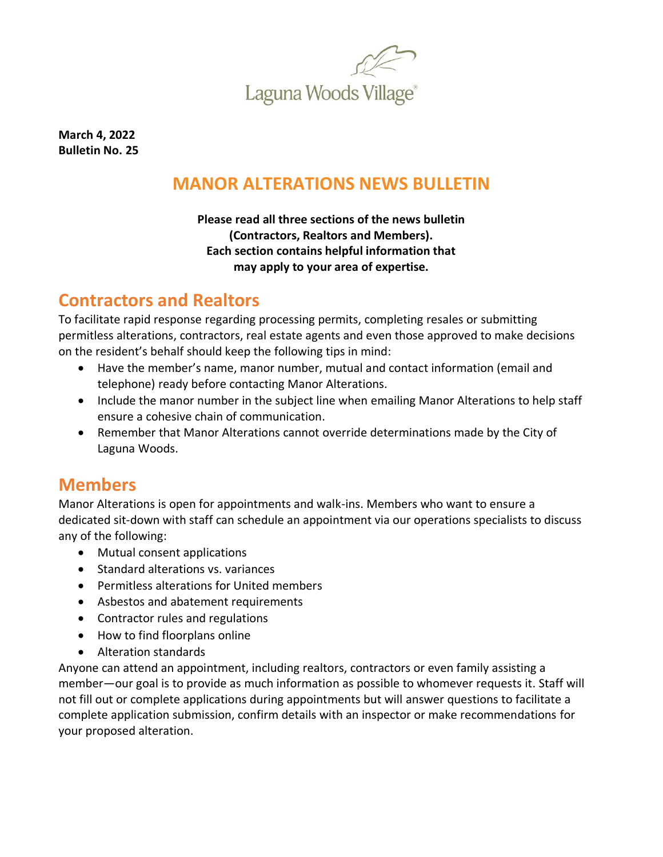

**March 4, 2022 Bulletin No. 25**

# **MANOR ALTERATIONS NEWS BULLETIN**

#### **Please read all three sections of the news bulletin (Contractors, Realtors and Members). Each section contains helpful information that may apply to your area of expertise.**

# **Contractors and Realtors**

To facilitate rapid response regarding processing permits, completing resales or submitting permitless alterations, contractors, real estate agents and even those approved to make decisions on the resident's behalf should keep the following tips in mind:

- Have the member's name, manor number, mutual and contact information (email and telephone) ready before contacting Manor Alterations.
- Include the manor number in the subject line when emailing Manor Alterations to help staff ensure a cohesive chain of communication.
- Remember that Manor Alterations cannot override determinations made by the City of Laguna Woods.

# **Members**

Manor Alterations is open for appointments and walk-ins. Members who want to ensure a dedicated sit-down with staff can schedule an appointment via our operations specialists to discuss any of the following:

- Mutual consent applications
- Standard alterations vs. variances
- Permitless alterations for United members
- Asbestos and abatement requirements
- Contractor rules and regulations
- How to find floorplans online
- Alteration standards

Anyone can attend an appointment, including realtors, contractors or even family assisting a member—our goal is to provide as much information as possible to whomever requests it. Staff will not fill out or complete applications during appointments but will answer questions to facilitate a complete application submission, confirm details with an inspector or make recommendations for your proposed alteration.